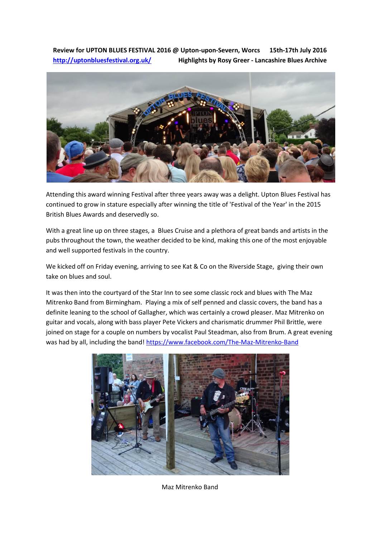**Review for UPTON BLUES FESTIVAL 2016 @ Upton-upon-Severn, Worcs 15th-17th July 2016 <http://uptonbluesfestival.org.uk/>Highlights by Rosy Greer - Lancashire Blues Archive**



Attending this award winning Festival after three years away was a delight. Upton Blues Festival has continued to grow in stature especially after winning the title of 'Festival of the Year' in the 2015 British Blues Awards and deservedly so.

With a great line up on three stages, a Blues Cruise and a plethora of great bands and artists in the pubs throughout the town, the weather decided to be kind, making this one of the most enjoyable and well supported festivals in the country.

We kicked off on Friday evening, arriving to see Kat & Co on the Riverside Stage, giving their own take on blues and soul.

It was then into the courtyard of the Star Inn to see some classic rock and blues with The Maz Mitrenko Band from Birmingham. Playing a mix of self penned and classic covers, the band has a definite leaning to the school of Gallagher, which was certainly a crowd pleaser. Maz Mitrenko on guitar and vocals, along with bass player Pete Vickers and charismatic drummer Phil Brittle, were joined on stage for a couple on numbers by vocalist Paul Steadman, also from Brum. A great evening was had by all, including the band! [https://www.facebook.com/The-Maz-Mitrenko-Band](https://www.facebook.com/The-Maz-Mitrenko-Band-132710013464752/info/?entry_point=page_nav_about_item&tab=page_info)



Maz Mitrenko Band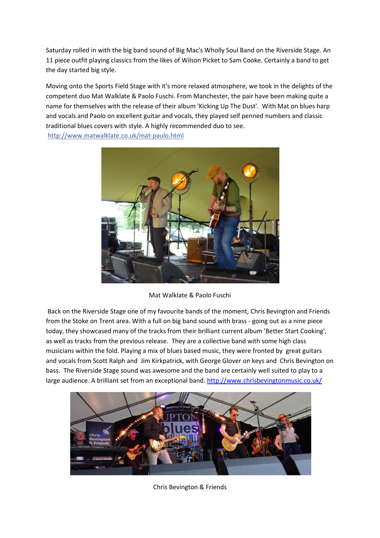Saturday rolled in with the big band sound of Big Mac's Wholly Soul Band on the Riverside Stage. An 11 piece outfit playing classics from the likes of Wilson Picket to Sam Cooke. Certainly a band to get the day started big style.

Moving onto the Sports Field Stage with it's more relaxed atmosphere, we took in the delights of the competent duo Mat Walklate & Paolo Fuschi. From Manchester, the pair have been making quite a name for themselves with the release of their album 'Kicking Up The Dust'. With Mat on blues harp and vocals and Paolo on excellent guitar and vocals, they played self penned numbers and classic traditional blues covers with style. A highly recommended duo to see. <http://www.matwalklate.co.uk/mat-paulo.html>



Mat Walklate & Paolo Fuschi

Back on the Riverside Stage one of my favourite bands of the moment, Chris Bevington and Friends from the Stoke on Trent area. With a full on big band sound with brass - going out as a nine piece today, they showcased many of the tracks from their brilliant current album 'Better Start Cooking', as well as tracks from the previous release. They are a collective band with some high class musicians within the fold. Playing a mix of blues based music, they were fronted by great guitars and vocals from Scott Ralph and Jim Kirkpatrick, with George Glover on keys and Chris Bevington on bass. The Riverside Stage sound was awesome and the band are certainly well suited to play to a large audience. A brilliant set from an exceptional band. <http://www.chrisbevingtonmusic.co.uk/>



Chris Bevington & Friends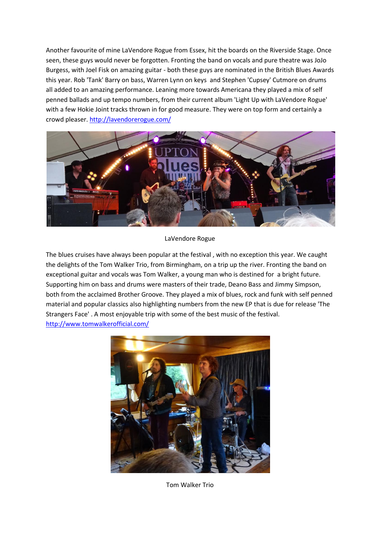Another favourite of mine LaVendore Rogue from Essex, hit the boards on the Riverside Stage. Once seen, these guys would never be forgotten. Fronting the band on vocals and pure theatre was JoJo Burgess, with Joel Fisk on amazing guitar - both these guys are nominated in the British Blues Awards this year. Rob 'Tank' Barry on bass, Warren Lynn on keys and Stephen 'Cupsey' Cutmore on drums all added to an amazing performance. Leaning more towards Americana they played a mix of self penned ballads and up tempo numbers, from their current album 'Light Up with LaVendore Rogue' with a few Hokie Joint tracks thrown in for good measure. They were on top form and certainly a crowd pleaser. <http://lavendorerogue.com/>



## LaVendore Rogue

The blues cruises have always been popular at the festival , with no exception this year. We caught the delights of the Tom Walker Trio, from Birmingham, on a trip up the river. Fronting the band on exceptional guitar and vocals was Tom Walker, a young man who is destined for a bright future. Supporting him on bass and drums were masters of their trade, Deano Bass and Jimmy Simpson, both from the acclaimed Brother Groove. They played a mix of blues, rock and funk with self penned material and popular classics also highlighting numbers from the new EP that is due for release 'The Strangers Face' . A most enjoyable trip with some of the best music of the festival. <http://www.tomwalkerofficial.com/>



Tom Walker Trio